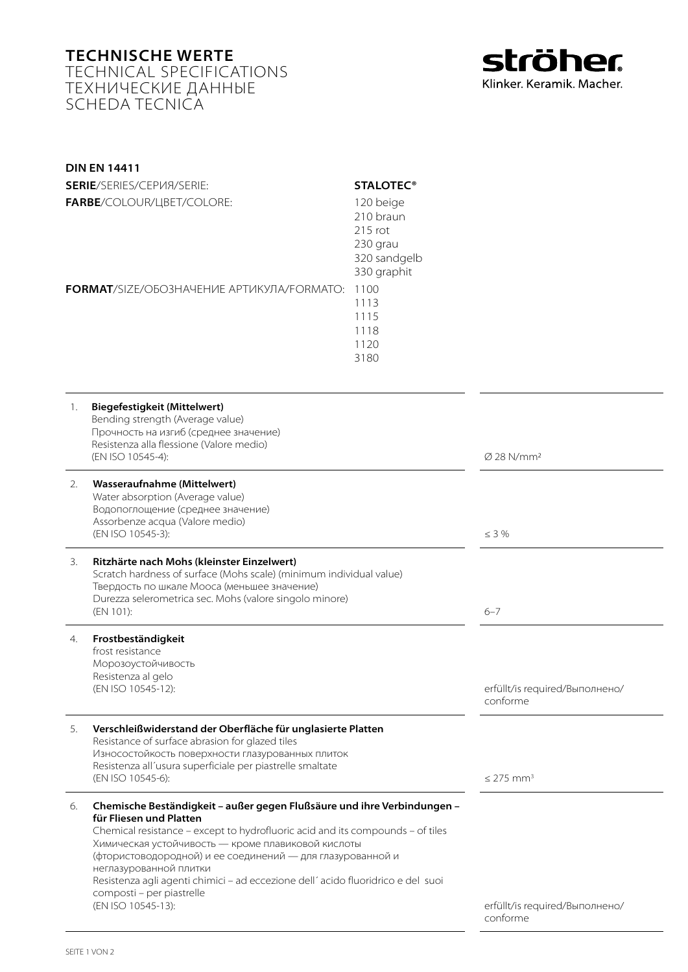## **Technische Werte** Technical Specifications Технические данные Scheda Tecnica



| <b>DIN EN 14411</b><br>SERIE/SERIES/CEPVIA/SERIE:<br>FARBE/COLOUR/LIBET/COLORE:                                                                                                                                                                            | <b>STALOTEC<sup>®</sup></b><br>120 beige<br>210 braun<br>215 rot                                                                                                                                                                                                                                           |                                            |
|------------------------------------------------------------------------------------------------------------------------------------------------------------------------------------------------------------------------------------------------------------|------------------------------------------------------------------------------------------------------------------------------------------------------------------------------------------------------------------------------------------------------------------------------------------------------------|--------------------------------------------|
| <b>FORMAT/SIZE/OBO3HAYEHVE APTVIKYJIA/FORMATO:</b>                                                                                                                                                                                                         | 230 grau<br>320 sandgelb<br>330 graphit<br>1100<br>1113<br>1115<br>1118<br>1120<br>3180                                                                                                                                                                                                                    |                                            |
| <b>Biegefestigkeit (Mittelwert)</b><br>1.<br>Bending strength (Average value)<br>Прочность на изгиб (среднее значение)<br>Resistenza alla flessione (Valore medio)<br>(EN ISO 10545-4):                                                                    |                                                                                                                                                                                                                                                                                                            | $\varnothing$ 28 N/mm <sup>2</sup>         |
| Wasseraufnahme (Mittelwert)<br>2.<br>Water absorption (Average value)<br>Водопоглощение (среднее значение)<br>Assorbenze acqua (Valore medio)<br>(EN ISO 10545-3):                                                                                         |                                                                                                                                                                                                                                                                                                            | $\leq$ 3 %                                 |
| Ritzhärte nach Mohs (kleinster Einzelwert)<br>3.<br>Твердость по шкале Мооса (меньшее значение)<br>Durezza selerometrica sec. Mohs (valore singolo minore)<br>(EN 101):                                                                                    | Scratch hardness of surface (Mohs scale) (minimum individual value)                                                                                                                                                                                                                                        | $6 - 7$                                    |
| Frostbeständigkeit<br>4.<br>frost resistance<br>Морозоустойчивость<br>Resistenza al gelo<br>(EN ISO 10545-12):                                                                                                                                             |                                                                                                                                                                                                                                                                                                            | erfüllt/is required/Выполнено/<br>conforme |
| Verschleißwiderstand der Oberfläche für unglasierte Platten<br>5.<br>Resistance of surface abrasion for glazed tiles<br>Износостойкость поверхности глазурованных плиток<br>Resistenza all'usura superficiale per piastrelle smaltate<br>(EN ISO 10545-6): |                                                                                                                                                                                                                                                                                                            | $\leq$ 275 mm <sup>3</sup>                 |
| 6.<br>für Fliesen und Platten<br>Химическая устойчивость - кроме плавиковой кислоты<br>неглазурованной плитки<br>composti - per piastrelle<br>(EN ISO 10545-13):                                                                                           | Chemische Beständigkeit - außer gegen Flußsäure und ihre Verbindungen -<br>Chemical resistance - except to hydrofluoric acid and its compounds - of tiles<br>(фтористоводородной) и ее соединений - для глазурованной и<br>Resistenza agli agenti chimici - ad eccezione dell'acido fluoridrico e del suoi | erfüllt/is required/Выполнено/<br>conforme |